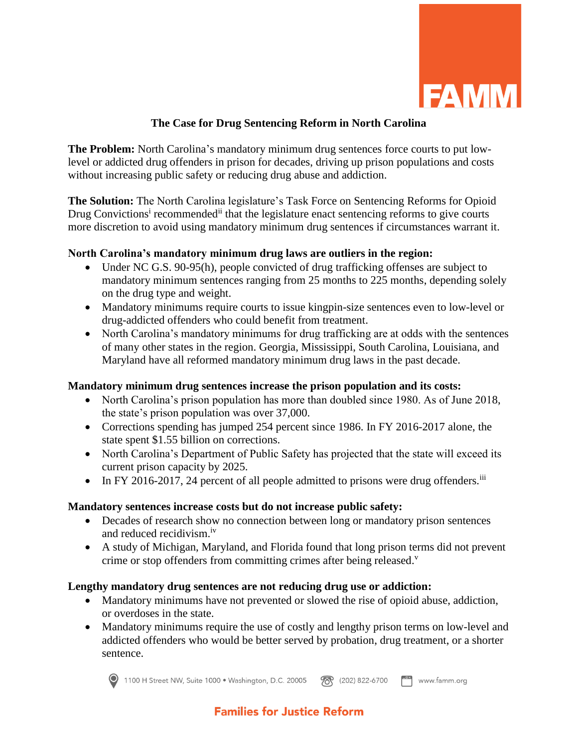

## **The Case for Drug Sentencing Reform in North Carolina**

**The Problem:** North Carolina's mandatory minimum drug sentences force courts to put lowlevel or addicted drug offenders in prison for decades, driving up prison populations and costs without increasing public safety or reducing drug abuse and addiction.

**The Solution:** The North Carolina legislature's Task Force on Sentencing Reforms for Opioid Drug Convictions<sup>i</sup> recommended<sup>ii</sup> that the legislature enact sentencing reforms to give courts more discretion to avoid using mandatory minimum drug sentences if circumstances warrant it.

## **North Carolina's mandatory minimum drug laws are outliers in the region:**

- Under NC G.S. 90-95(h), people convicted of drug trafficking offenses are subject to mandatory minimum sentences ranging from 25 months to 225 months, depending solely on the drug type and weight.
- Mandatory minimums require courts to issue kingpin-size sentences even to low-level or drug-addicted offenders who could benefit from treatment.
- North Carolina's mandatory minimums for drug trafficking are at odds with the sentences of many other states in the region. Georgia, Mississippi, South Carolina, Louisiana, and Maryland have all reformed mandatory minimum drug laws in the past decade.

## **Mandatory minimum drug sentences increase the prison population and its costs:**

- North Carolina's prison population has more than doubled since 1980. As of June 2018, the state's prison population was over 37,000.
- Corrections spending has jumped 254 percent since 1986. In FY 2016-2017 alone, the state spent \$1.55 billion on corrections.
- North Carolina's Department of Public Safety has projected that the state will exceed its current prison capacity by 2025.
- In FY 2016-2017, 24 percent of all people admitted to prisons were drug offenders.<sup>iii</sup>

#### **Mandatory sentences increase costs but do not increase public safety:**

- Decades of research show no connection between long or mandatory prison sentences and reduced recidivism.iv
- A study of Michigan, Maryland, and Florida found that long prison terms did not prevent crime or stop offenders from committing crimes after being released.<sup>v</sup>

#### **Lengthy mandatory drug sentences are not reducing drug use or addiction:**

- Mandatory minimums have not prevented or slowed the rise of opioid abuse, addiction, or overdoses in the state.
- Mandatory minimums require the use of costly and lengthy prison terms on low-level and addicted offenders who would be better served by probation, drug treatment, or a shorter sentence.



1100 H Street NW, Suite 1000 · Washington, D.C. 20005 78 (202) 822-6700  $\begin{bmatrix} -ax \\ -bx \end{bmatrix}$  www.famm.org

# **Families for Justice Reform**